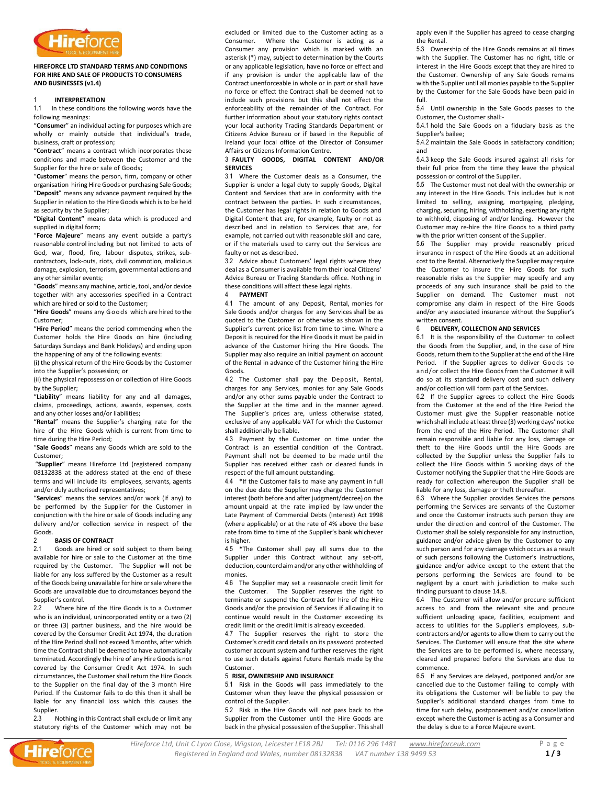

# **HIREFORCE LTD STANDARD TERMS AND CONDITIONS FOR HIRE AND SALE OF PRODUCTS TO CONSUMERS AND BUSINESSES (v1.4)**

# 1 **INTERPRETATION**

1.1 In these conditions the following words have the following meanings:

"**Consumer**" an individual acting for purposes which are wholly or mainly outside that individual's trade, business, craft or profession;

"**Contract**" means a contract which incorporates these conditions and made between the Customer and the Supplier for the hire or sale of Goods;

"**Customer**" means the person, firm, company or other organisation hiring Hire Goods or purchasing Sale Goods; "**Deposit**" means any advance payment required by the Supplier in relation to the Hire Goods which is to be held as security by the Supplier;

**"Digital Content"** means data which is produced and supplied in digital form;

"**Force Majeure**" means any event outside a party's reasonable control including but not limited to acts of God, war, flood, fire, labour disputes, strikes, subcontractors, lock-outs, riots, civil commotion, malicious damage, explosion, terrorism, governmental actions and any other similar events;

"**Goods**" means any machine, article, tool, and/or device together with any accessories specified in a Contract which are hired or sold to the Customer;

"**Hire Goods**" means any Go o ds which are hired to the Customer;

"**Hire Period**" means the period commencing when the Customer holds the Hire Goods on hire (including Saturdays Sundays and Bank Holidays) and ending upon the happening of any of the following events:

(i) the physical return of the Hire Goods by the Customer into the Supplier's possession; or

(ii) the physical repossession or collection of Hire Goods by the Supplier;

"**Liability**" means liability for any and all damages, claims, proceedings, actions, awards, expenses, costs and any other losses and/or liabilities;

"**Rental**" means the Supplier's charging rate for the hire of the Hire Goods which is current from time to time during the Hire Period;

"**Sale Goods**" means any Goods which are sold to the Customer;

"**Supplier**" means Hireforce Ltd (registered company 08132838 at the address stated at the end of these terms and will include its employees, servants, agents and/or duly authorised representatives;

<span id="page-0-0"></span>"**Services**" means the services and/or work (if any) to be performed by the Supplier for the Customer in conjunction with the hire or sale of Goods including any delivery and/or collection service in respect of the Goods.

### 2 **BASIS OF CONTRACT**

2.1 Goods are hired or sold subject to them being available for hire or sale to the Customer at the time required by the Customer. The Supplier will not be liable for any loss suffered by the Customer as a result of the Goods being unavailable for hire or sale where the Goods are unavailable due to circumstances beyond the Supplier's control.

2.2 Where hire of the Hire Goods is to a Customer who is an individual, unincorporated entity or a two (2) or three (3) partner business, and the hire would be covered by the Consumer Credit Act 1974, the duration of the Hire Period shall not exceed 3 months, after which time the Contract shall be deemed to have automatically terminated. Accordingly the hire of any Hire Goods is not covered by the Consumer Credit Act 1974. In such circumstances, the Customer shall return the Hire Goods to the Supplier on the final day of the 3 month Hire Period. If the Customer fails to do this then it shall be liable for any financial loss which this causes the Supplier.

2.3 Nothing in this Contract shall exclude or limit any statutory rights of the Customer which may not be

excluded or limited due to the Customer acting as a Consumer. Where the Customer is acting as a Consumer any provision which is marked with an asterisk (\*) may, subject to determination by the Courts or any applicable legislation, have no force or effect and if any provision is under the applicable law of the Contract unenforceable in whole or in part or shall have no force or effect the Contract shall be deemed not to include such provisions but this shall not effect the enforceability of the remainder of the Contract. For further information about your statutory rights contact your local authority Trading Standards Department or Citizens Advice Bureau or if based in the Republic of Ireland your local office of the Director of Consumer Affairs or Citizens Information Centre.

# 3 **FAULTY GOODS, DIGITAL CONTENT AND/OR SERVICES**

3.1 Where the Customer deals as a Consumer, the Supplier is under a legal duty to supply Goods, Digital Content and Services that are in conformity with the contract between the parties. In such circumstances, the Customer has legal rights in relation to Goods and Digital Content that are, for example, faulty or not as described and in relation to Services that are, for example, not carried out with reasonable skill and care, or if the materials used to carry out the Services are faulty or not as described.

3.2 Advice about Customers' legal rights where they deal as a Consumer is available from their local Citizens' Advice Bureau or Trading Standards office. Nothing in these conditions will affect these legal rights.

# 4 **PAYMENT**

4.1 The amount of any Deposit, Rental, monies for Sale Goods and/or charges for any Services shall be as quoted to the Customer or otherwise as shown in the Supplier's current price list from time to time. Where a Deposit is required for the Hire Goods it must be paid in advance of the Customer hiring the Hire Goods. The Supplier may also require an initial payment on account of the Rental in advance of the Customer hiring the Hire Goods.

<span id="page-0-1"></span>4.2 The Customer shall pay the Deposit, Rental, charges for any Services, monies for any Sale Goods and/or any other sums payable under the Contract to the Supplier at the time and in the manner agreed. The Supplier's prices are, unless otherwise stated, exclusive of any applicable VAT for which the Customer shall additionally be liable.

4.3 Payment by the Customer on time under the Contract is an essential condition of the Contract. Payment shall not be deemed to be made until the Supplier has received either cash or cleared funds in respect of the full amount outstanding.

<span id="page-0-2"></span>4.4 **\***If the Customer fails to make any payment in full on the due date the Supplier may charge the Customer interest (both before and after judgment/decree) on the amount unpaid at the rate implied by law under the Late Payment of Commercial Debts (Interest) Act 1998 (where applicable) or at the rate of 4% above the base rate from time to time of the Supplier's bank whichever is higher.

<span id="page-0-3"></span>4.5 **\***The Customer shall pay all sums due to the Supplier under this Contract without any set-off, deduction, counterclaim and/or any other withholding of monies.

4.6 The Supplier may set a reasonable credit limit for the Customer. The Supplier reserves the right to terminate or suspend the Contract for hire of the Hire Goods and/or the provision of Services if allowing it to continue would result in the Customer exceeding its credit limit or the credit limit is already exceeded.

4.7 The Supplier reserves the right to store the Customer's credit card details on its password protected customer account system and further reserves the right to use such details against future Rentals made by the Customer.

### 5 **RISK, OWNERSHIP AND INSURANCE**

5.1 Risk in the Goods will pass immediately to the Customer when they leave the physical possession or control of the Supplier.

5.2 Risk in the Hire Goods will not pass back to the Supplier from the Customer until the Hire Goods are back in the physical possession of the Supplier. This shall apply even if the Supplier has agreed to cease charging the Rental.

5.3 Ownership of the Hire Goods remains at all times with the Supplier. The Customer has no right, title or interest in the Hire Goods except that they are hired to the Customer. Ownership of any Sale Goods remains with the Supplier until all monies payable to the Supplier by the Customer for the Sale Goods have been paid in full.

5.4 Until ownership in the Sale Goods passes to the Customer, the Customer shall:-

5.4.1 hold the Sale Goods on a fiduciary basis as the Supplier's bailee;

5.4.2 maintain the Sale Goods in satisfactory condition; and

5.4.3 keep the Sale Goods insured against all risks for their full price from the time they leave the physical possession or control of the Supplier.

5.5 The Customer must not deal with the ownership or any interest in the Hire Goods. This includes but is not limited to selling, assigning, mortgaging, pledging, charging, securing, hiring, withholding, exerting any right to withhold, disposing of and/or lending. However the Customer may re-hire the Hire Goods to a third party with the prior written consent of the Supplier.

5.6 The Supplier may provide reasonably priced insurance in respect of the Hire Goods at an additional cost to the Rental. Alternatively the Supplier may require the Customer to insure the Hire Goods for such reasonable risks as the Supplier may specify and any proceeds of any such insurance shall be paid to the Supplier on demand. The Customer must not compromise any claim in respect of the Hire Goods and/or any associated insurance without the Supplier's written consent.

### 6 **DELIVERY, COLLECTION AND SERVICES**

6.1 It is the responsibility of the Customer to collect the Goods from the Supplier, and, in the case of Hire Goods, return them to the Supplier at the end of the Hire Period. If the Supplier agrees to deliver Goods to and/or collect the Hire Goods from the Customer it will do so at its standard delivery cost and such delivery and/or collection will form part of the Services.

6.2 If the Supplier agrees to collect the Hire Goods from the Customer at the end of the Hire Period the Customer must give the Supplier reasonable notice which shall include at least three (3) working days' notice from the end of the Hire Period. The Customer shall remain responsible and liable for any loss, damage or theft to the Hire Goods until the Hire Goods are collected by the Supplier unless the Supplier fails to collect the Hire Goods within 5 working days of the Customer notifying the Supplier that the Hire Goods are ready for collection whereupon the Supplier shall be liable for any loss, damage or theft thereafter.

6.3 Where the Supplier provides Services the persons performing the Services are servants of the Customer and once the Customer instructs such person they are under the direction and control of the Customer. The Customer shall be solely responsible for any instruction, guidance and/or advice given by the Customer to any such person and for any damage which occurs as a result of such persons following the Customer's instructions, guidance and/or advice except to the extent that the persons performing the Services are found to be negligent by a court with jurisdiction to make such finding pursuant to claus[e 14.8.](#page-2-0)

6.4 The Customer will allow and/or procure sufficient access to and from the relevant site and procure sufficient unloading space, facilities, equipment and access to utilities for the Supplier's employees, subcontractors and/or agents to allow them to carry out the Services. The Customer will ensure that the site where the Services are to be performed is, where necessary, cleared and prepared before the Services are due to commence.

6.5 If any Services are delayed, postponed and/or are cancelled due to the Customer failing to comply with its obligations the Customer will be liable to pay the Supplier's additional standard charges from time to time for such delay, postponement and/or cancellation except where the Customer is acting as a Consumer and the delay is due to a Force Majeure event.

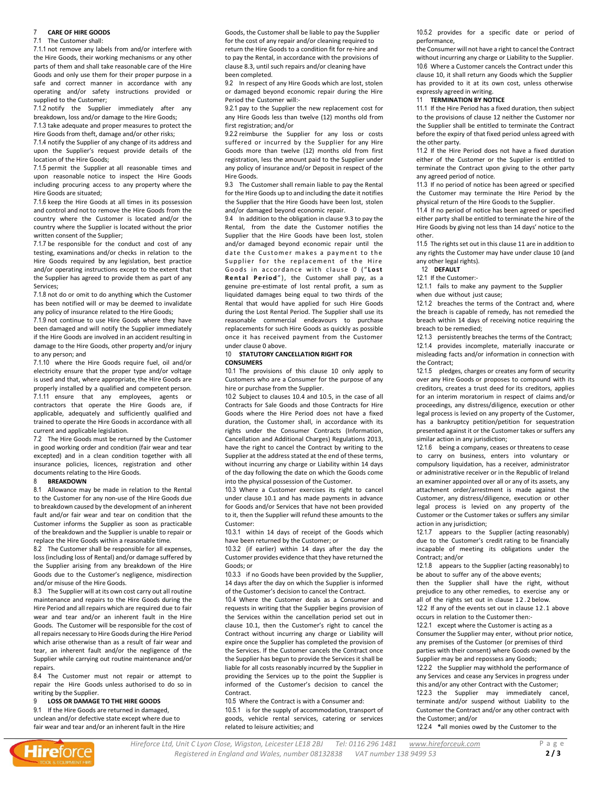### <span id="page-1-8"></span>7 **CARE OF HIRE GOODS**

#### 7.1 The Customer shall:

7.1.1 not remove any labels from and/or interfere with the Hire Goods, their working mechanisms or any other parts of them and shall take reasonable care of the Hire Goods and only use them for their proper purpose in a safe and correct manner in accordance with any operating and/or safety instructions provided or supplied to the Customer;

7.1.2 notify the Supplier immediately after any breakdown, loss and/or damage to the Hire Goods;

7.1.3 take adequate and proper measures to protect the Hire Goods from theft, damage and/or other risks;

7.1.4 notify the Supplier of any change of its address and upon the Supplier's request provide details of the location of the Hire Goods;

7.1.5 permit the Supplier at all reasonable times and upon reasonable notice to inspect the Hire Goods including procuring access to any property where the Hire Goods are situated;

7.1.6 keep the Hire Goods at all times in its possession and control and not to remove the Hire Goods from the country where the Customer is located and/or the country where the Supplier is located without the prior written consent of the Supplier;

7.1.7 be responsible for the conduct and cost of any testing, examinations and/or checks in relation to the Hire Goods required by any legislation, best practice and/or operating instructions except to the extent that the Supplier has agreed to provide them as part of any Services;

7.1.8 not do or omit to do anything which the Customer has been notified will or may be deemed to invalidate any policy of insurance related to the Hire Goods;

7.1.9 not continue to use Hire Goods where they have been damaged and will notify the Supplier immediately if the Hire Goods are involved in an accident resulting in damage to the Hire Goods, other property and/or injury to any person; and

7.1.10 where the Hire Goods require fuel, oil and/or electricity ensure that the proper type and/or voltage is used and that, where appropriate, the Hire Goods are properly installed by a qualified and competent person. 7.1.11 ensure that any employees, agents or contractors that operate the Hire Goods are, if applicable, adequately and sufficiently qualified and trained to operate the Hire Goods in accordance with all current and applicable legislation.

7.2 The Hire Goods must be returned by the Customer in good working order and condition (fair wear and tear excepted) and in a clean condition together with all insurance policies, licences, registration and other documents relating to the Hire Goods.

#### <span id="page-1-9"></span>8 **BREAKDOWN**

8.1 Allowance may be made in relation to the Rental to the Customer for any non-use of the Hire Goods due to breakdown caused by the development of an inherent fault and/or fair wear and tear on condition that the Customer informs the Supplier as soon as practicable of the breakdown and the Supplier is unable to repair or replace the Hire Goods within a reasonable time.

8.2 The Customer shall be responsible for all expenses, loss(including loss of Rental) and/or damage suffered by the Supplier arising from any breakdown of the Hire Goods due to the Customer's negligence, misdirection and/or misuse of the Hire Goods.

8.3 The Supplier will at its own cost carry out all routine maintenance and repairs to the Hire Goods during the Hire Period and all repairs which are required due to fair wear and tear and/or an inherent fault in the Hire Goods. The Customer will be responsible for the cost of all repairs necessary to Hire Goods during the Hire Period which arise otherwise than as a result of fair wear and tear, an inherent fault and/or the negligence of the Supplier while carrying out routine maintenance and/or repairs.

8.4 The Customer must not repair or attempt to repair the Hire Goods unless authorised to do so in writing by the Supplier.

9 **LOSS OR DAMAGE TO THE HIRE GOODS**

9.1 If the Hire Goods are returned in damaged,

unclean and/or defective state except where due to fair wear and tear and/or an inherent fault in the Hire Goods, the Customer shall be liable to pay the Supplier for the cost of any repair and/or cleaning required to return the Hire Goods to a condition fit for re-hire and to pay the Rental, in accordance with the provisions of clause 8.3, until such repairs and/or cleaning have been completed.

9.2 In respect of any Hire Goods which are lost, stolen or damaged beyond economic repair during the Hire Period the Customer will:-

9.2.1 pay to the Supplier the new replacement cost for any Hire Goods less than twelve (12) months old from first registration; and/or

9.2.2 reimburse the Supplier for any loss or costs suffered or incurred by the Supplier for any Hire Goods more than twelve (12) months old from first registration, less the amount paid to the Supplier under any policy of insurance and/or Deposit in respect of the Hire Goods.

<span id="page-1-0"></span>9.3 The Customer shall remain liable to pay the Rental for the Hire Goods up to and including the date it notifies the Supplier that the Hire Goods have been lost, stolen and/or damaged beyond economic repair.

9.4 In addition to the obligation in claus[e 9.3](#page-1-0) to pay the Rental, from the date the Customer notifies the Supplier that the Hire Goods have been lost, stolen and/or damaged beyond economic repair until the date the Customer makes a payment to the Supplier for the replacement of the Hire Goods in accordance with clause [0](#page-0-0) ("Lost Rental Period"), the Customer shall pay, as a genuine pre-estimate of lost rental profit, a sum as liquidated damages being equal to two thirds of the Rental that would have applied for such Hire Goods during the Lost Rental Period. The Supplier shall use its reasonable commercial endeavours to purchase replacements for such Hire Goods as quickly as possible once it has received payment from the Customer under claus[e 0](#page-0-0) above.

#### <span id="page-1-1"></span>10 **STATUTORY CANCELLATION RIGHT FOR CONSUMERS**

<span id="page-1-3"></span>10.1 The provisions of this clause [10](#page-1-1) only apply to Customers who are a Consumer for the purpose of any hire or purchase from the Supplier.

10.2 Subject to clause[s 10.4](#page-1-2) and 10.5, in the case of all Contracts for Sale Goods and those Contracts for Hire Goods where the Hire Period does not have a fixed duration, the Customer shall, in accordance with its rights under the Consumer Contracts (Information, Cancellation and Additional Charges) Regulations 2013, have the right to cancel the Contract by writing to the Supplier at the address stated at the end of these terms, without incurring any charge or Liability within 14 days of the day following the date on which the Goods come into the physical possession of the Customer.

10.3 Where a Customer exercises its right to cancel under claus[e 10.1](#page-1-3) and has made payments in advance for Goods and/or Services that have not been provided to it, then the Supplier will refund these amounts to the Customer:

10.3.1 within 14 days of receipt of the Goods which have been returned by the Customer; or

10.3.2 (if earlier) within 14 days after the day the Customer provides evidence that they have returned the Goods; or

10.3.3 if no Goods have been provided by the Supplier, 14 days after the day on which the Supplier is informed of the Customer's decision to cancel the Contract.

<span id="page-1-2"></span>10.4 Where the Customer deals as a Consumer and requests in writing that the Supplier begins provision of the Services within the cancellation period set out in clause [10.1](#page-1-3), then the Customer's right to cancel the Contract without incurring any charge or Liability will expire once the Supplier has completed the provision of the Services. If the Customer cancels the Contract once the Supplier has begun to provide the Services it shall be liable for all costs reasonably incurred by the Supplier in providing the Services up to the point the Supplier is informed of the Customer's decision to cancel the Contract.

10.5 Where the Contract is with a Consumer and:

10.5.1 is for the supply of accommodation, transport of goods, vehicle rental services, catering or services related to leisure activities; and

10.5.2 provides for a specific date or period of performance,

the Consumer will not have a right to cancel the Contract without incurring any charge or Liability to the Supplier. 10.6 Where a Customer cancels the Contract under this clause 10, it shall return any Goods which the Supplier has provided to it at its own cost, unless otherwise expressly agreed in writing.

### <span id="page-1-5"></span>11 **TERMINATION BY NOTICE**

11.1 If the Hire Period has a fixed duration, then subject to the provisions of clause [12](#page-1-4) neither the Customer nor the Supplier shall be entitled to terminate the Contract before the expiry of that fixed period unless agreed with the other party.

11.2 If the Hire Period does not have a fixed duration either of the Customer or the Supplier is entitled to terminate the Contract upon giving to the other party any agreed period of notice.

11.3 If no period of notice has been agreed or specified the Customer may terminate the Hire Period by the physical return of the Hire Goods to the Supplier.

11.4 If no period of notice has been agreed or specified either party shall be entitled to terminate the hire of the Hire Goods by giving not less than 14 days' notice to the other.

11.5 The rights set out in this claus[e 11](#page-1-5) are in addition to any rights the Customer may have under claus[e 10](#page-1-1) (and any other legal rights).

<span id="page-1-4"></span>12 **DEFAULT**

<span id="page-1-7"></span>12.1 If the Customer:-

12.1.1 fails to make any payment to the Supplier when due without just cause;

12.1.2 breaches the terms of the Contract and, where the breach is capable of remedy, has not remedied the breach within 14 days of receiving notice requiring the breach to be remedied;

12.1.3 persistently breaches the terms of the Contract; 12.1.4 provides incomplete, materially inaccurate or misleading facts and/or information in connection with the Contract;

12.1.5 pledges, charges or creates any form of security over any Hire Goods or proposes to compound with its creditors, creates a trust deed for its creditors, applies for an interim moratorium in respect of claims and/or proceedings, any distress/diligence, execution or other legal process is levied on any property of the Customer, has a bankruptcy petition/petition for sequestration presented against it or the Customer takes or suffers any similar action in any jurisdiction;

12.1.6 being a company, ceases or threatens to cease to carry on business, enters into voluntary or compulsory liquidation, has a receiver, administrator or administrative receiver or in the Republic of Ireland an examiner appointed over all or any of its assets, any attachment order/arrestment is made against the Customer, any distress/diligence, execution or other legal process is levied on any property of the Customer or the Customer takes or suffers any similar action in any jurisdiction;

12.1.7 appears to the Supplier (acting reasonably) due to the Customer's credit rating to be financially incapable of meeting its obligations under the Contract; and/or

12.1.8 appears to the Supplier (acting reasonably) to be about to suffer any of the above events;

then the Supplier shall have the right, without prejudice to any other remedies, to exercise any or all of the rights set out in clause 12.2 below.

<span id="page-1-6"></span>12.2 If any of the events set out in clause [12.1](#page-1-7) above occurs in relation to the Customer then:-

12.2.1 except where the Customer is acting as a Consumer the Supplier may enter, without prior notice, any premises of the Customer (or premises of third parties with their consent) where Goods owned by the Supplier may be and repossess any Goods;

12.2.2 the Supplier may withhold the performance of any Services and cease any Services in progress under this and/or any other Contract with the Customer;

12.2.3 the Supplier may immediately cancel, terminate and/or suspend without Liability to the Customer the Contract and/or any other contract with the Customer; and/or

12.2.4 **\***all monies owed by the Customer to the